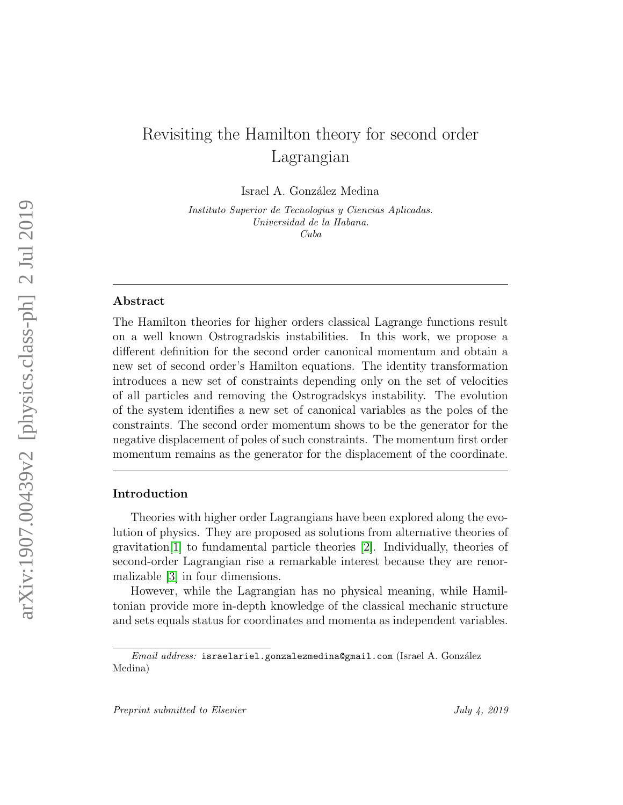# Revisiting the Hamilton theory for second order Lagrangian

Israel A. González Medina

Instituto Superior de Tecnologias y Ciencias Aplicadas. Universidad de la Habana. Cuba

# Abstract

The Hamilton theories for higher orders classical Lagrange functions result on a well known Ostrogradskis instabilities. In this work, we propose a different definition for the second order canonical momentum and obtain a new set of second order's Hamilton equations. The identity transformation introduces a new set of constraints depending only on the set of velocities of all particles and removing the Ostrogradskys instability. The evolution of the system identifies a new set of canonical variables as the poles of the constraints. The second order momentum shows to be the generator for the negative displacement of poles of such constraints. The momentum first order momentum remains as the generator for the displacement of the coordinate.

# Introduction

Theories with higher order Lagrangians have been explored along the evolution of physics. They are proposed as solutions from alternative theories of gravitation[\[1\]](#page-16-0) to fundamental particle theories [\[2\]](#page-16-1). Individually, theories of second-order Lagrangian rise a remarkable interest because they are renormalizable [\[3\]](#page-16-2) in four dimensions.

However, while the Lagrangian has no physical meaning, while Hamiltonian provide more in-depth knowledge of the classical mechanic structure and sets equals status for coordinates and momenta as independent variables.

Email address: israelariel.gonzalezmedina@gmail.com (Israel A. González Medina)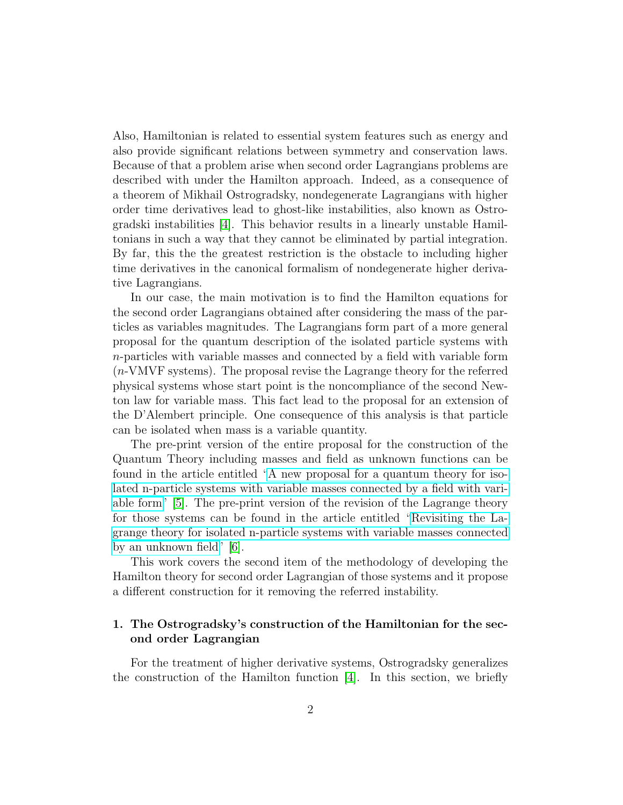Also, Hamiltonian is related to essential system features such as energy and also provide significant relations between symmetry and conservation laws. Because of that a problem arise when second order Lagrangians problems are described with under the Hamilton approach. Indeed, as a consequence of a theorem of Mikhail Ostrogradsky, nondegenerate Lagrangians with higher order time derivatives lead to ghost-like instabilities, also known as Ostrogradski instabilities [\[4\]](#page-16-3). This behavior results in a linearly unstable Hamiltonians in such a way that they cannot be eliminated by partial integration. By far, this the the greatest restriction is the obstacle to including higher time derivatives in the canonical formalism of nondegenerate higher derivative Lagrangians.

In our case, the main motivation is to find the Hamilton equations for the second order Lagrangians obtained after considering the mass of the particles as variables magnitudes. The Lagrangians form part of a more general proposal for the quantum description of the isolated particle systems with n-particles with variable masses and connected by a field with variable form (n-VMVF systems). The proposal revise the Lagrange theory for the referred physical systems whose start point is the noncompliance of the second Newton law for variable mass. This fact lead to the proposal for an extension of the D'Alembert principle. One consequence of this analysis is that particle can be isolated when mass is a variable quantity.

The pre-print version of the entire proposal for the construction of the Quantum Theory including masses and field as unknown functions can be found in the article entitled ["A new proposal for a quantum theory for iso](http://arxiv.org/abs/1811.12175)[lated n-particle systems with variable masses connected by a field with vari](http://arxiv.org/abs/1811.12175)[able form"](http://arxiv.org/abs/1811.12175) [\[5\]](#page-16-4). The pre-print version of the revision of the Lagrange theory for those systems can be found in the article entitled ["Revisiting the La](http://arxiv.org/abs/1903.04916)[grange theory for isolated n-particle systems with variable masses connected](http://arxiv.org/abs/1903.04916) [by an unknown field"](http://arxiv.org/abs/1903.04916) [\[6\]](#page-16-5).

This work covers the second item of the methodology of developing the Hamilton theory for second order Lagrangian of those systems and it propose a different construction for it removing the referred instability.

# 1. The Ostrogradsky's construction of the Hamiltonian for the second order Lagrangian

For the treatment of higher derivative systems, Ostrogradsky generalizes the construction of the Hamilton function [\[4\]](#page-16-3). In this section, we briefly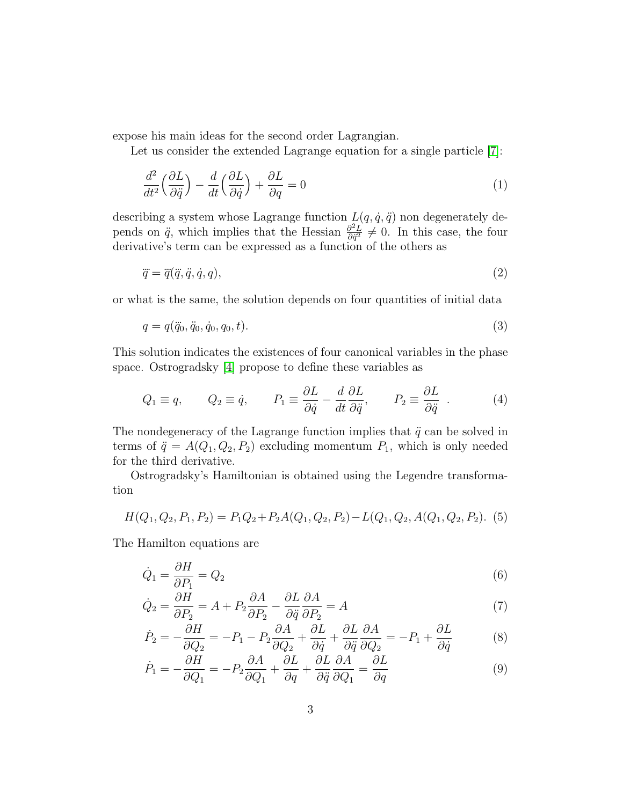expose his main ideas for the second order Lagrangian.

Let us consider the extended Lagrange equation for a single particle [\[7\]](#page-16-6):

$$
\frac{d^2}{dt^2} \left( \frac{\partial L}{\partial \ddot{q}} \right) - \frac{d}{dt} \left( \frac{\partial L}{\partial \dot{q}} \right) + \frac{\partial L}{\partial q} = 0 \tag{1}
$$

describing a system whose Lagrange function  $L(q, \dot{q}, \ddot{q})$  non degenerately depends on  $\ddot{q}$ , which implies that the Hessian  $\frac{\partial^2 L}{\partial \dot{q}^2}$  $\frac{\partial^2 L}{\partial \ddot{q}^2} \neq 0$ . In this case, the four derivative's term can be expressed as a function of the others as

$$
\ddot{q} = \ddot{q}(\ddot{q}, \ddot{q}, \dot{q}, q),\tag{2}
$$

or what is the same, the solution depends on four quantities of initial data

<span id="page-2-1"></span>
$$
q = q(\ddot{q}_0, \ddot{q}_0, \dot{q}_0, q_0, t). \tag{3}
$$

This solution indicates the existences of four canonical variables in the phase space. Ostrogradsky [\[4\]](#page-16-3) propose to define these variables as

$$
Q_1 \equiv q, \qquad Q_2 \equiv \dot{q}, \qquad P_1 \equiv \frac{\partial L}{\partial \dot{q}} - \frac{d}{dt} \frac{\partial L}{\partial \ddot{q}}, \qquad P_2 \equiv \frac{\partial L}{\partial \ddot{q}} \qquad (4)
$$

The nondegeneracy of the Lagrange function implies that  $\ddot{q}$  can be solved in terms of  $\ddot{q} = A(Q_1, Q_2, P_2)$  excluding momentum  $P_1$ , which is only needed for the third derivative.

<span id="page-2-0"></span>Ostrogradsky's Hamiltonian is obtained using the Legendre transformation

$$
H(Q_1, Q_2, P_1, P_2) = P_1 Q_2 + P_2 A(Q_1, Q_2, P_2) - L(Q_1, Q_2, A(Q_1, Q_2, P_2). (5)
$$

The Hamilton equations are

$$
\dot{Q}_1 = \frac{\partial H}{\partial P_1} = Q_2 \tag{6}
$$

$$
\dot{Q}_2 = \frac{\partial H}{\partial P_2} = A + P_2 \frac{\partial A}{\partial P_2} - \frac{\partial L}{\partial \ddot{q}} \frac{\partial A}{\partial P_2} = A \tag{7}
$$

$$
\dot{P}_2 = -\frac{\partial H}{\partial Q_2} = -P_1 - P_2 \frac{\partial A}{\partial Q_2} + \frac{\partial L}{\partial \dot{q}} + \frac{\partial L}{\partial \ddot{q}} \frac{\partial A}{\partial Q_2} = -P_1 + \frac{\partial L}{\partial \dot{q}} \tag{8}
$$

$$
\dot{P}_1 = -\frac{\partial H}{\partial Q_1} = -P_2 \frac{\partial A}{\partial Q_1} + \frac{\partial L}{\partial q} + \frac{\partial L}{\partial \ddot{q}} \frac{\partial A}{\partial Q_1} = \frac{\partial L}{\partial q} \tag{9}
$$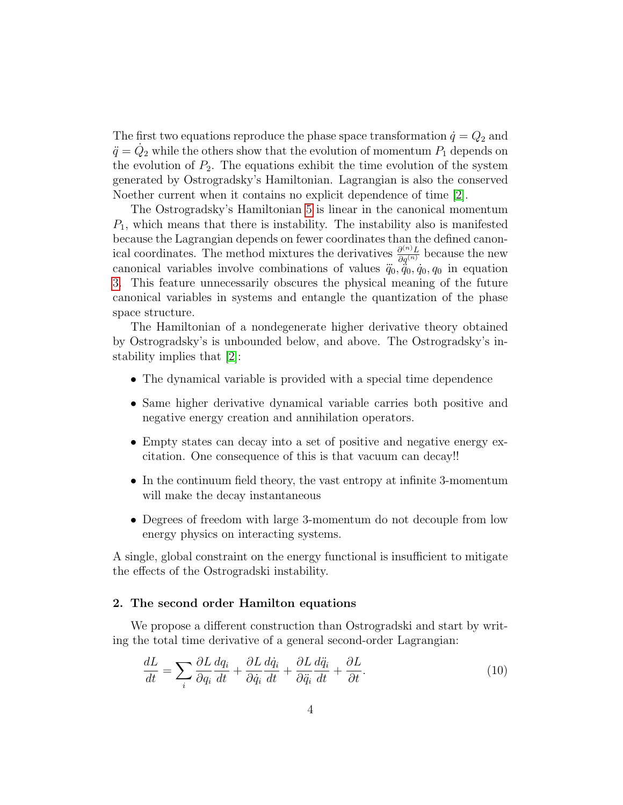The first two equations reproduce the phase space transformation  $\dot{q} = Q_2$  and  $\ddot{q} = \dot{Q}_2$  while the others show that the evolution of momentum  $P_1$  depends on the evolution of  $P_2$ . The equations exhibit the time evolution of the system generated by Ostrogradsky's Hamiltonian. Lagrangian is also the conserved Noether current when it contains no explicit dependence of time [\[2\]](#page-16-1).

The Ostrogradsky's Hamiltonian [5](#page-2-0) is linear in the canonical momentum  $P_1$ , which means that there is instability. The instability also is manifested because the Lagrangian depends on fewer coordinates than the defined canonical coordinates. The method mixtures the derivatives  $\frac{\partial^{(n)} L}{\partial q^{(n)}}$  because the new can coordinates. The method initiatives the derivatives canonical variables involve combinations of values  $\dddot{q}$ canonical variables involve combinations of values  $\ddot{q}_0, \dot{q}_0, q_0$  in equation [3.](#page-2-1) This feature unnecessarily obscures the physical meaning of the future canonical variables in systems and entangle the quantization of the phase space structure.

The Hamiltonian of a nondegenerate higher derivative theory obtained by Ostrogradsky's is unbounded below, and above. The Ostrogradsky's instability implies that [\[2\]](#page-16-1):

- The dynamical variable is provided with a special time dependence
- Same higher derivative dynamical variable carries both positive and negative energy creation and annihilation operators.
- Empty states can decay into a set of positive and negative energy excitation. One consequence of this is that vacuum can decay!!
- In the continuum field theory, the vast entropy at infinite 3-momentum will make the decay instantaneous
- Degrees of freedom with large 3-momentum do not decouple from low energy physics on interacting systems.

A single, global constraint on the energy functional is insufficient to mitigate the effects of the Ostrogradski instability.

# 2. The second order Hamilton equations

We propose a different construction than Ostrogradski and start by writing the total time derivative of a general second-order Lagrangian:

$$
\frac{dL}{dt} = \sum_{i} \frac{\partial L}{\partial q_i} \frac{dq_i}{dt} + \frac{\partial L}{\partial \dot{q}_i} \frac{d\dot{q}_i}{dt} + \frac{\partial L}{\partial \ddot{q}_i} \frac{d\ddot{q}_i}{dt} + \frac{\partial L}{\partial t}.
$$
\n(10)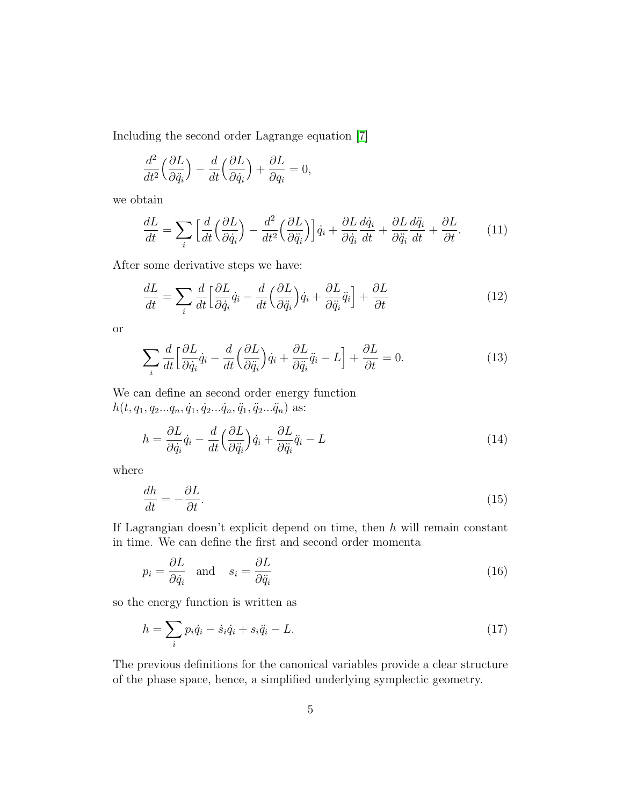Including the second order Lagrange equation [\[7\]](#page-16-6)

$$
\frac{d^2}{dt^2} \left( \frac{\partial L}{\partial \ddot{q}_i} \right) - \frac{d}{dt} \left( \frac{\partial L}{\partial \dot{q}_i} \right) + \frac{\partial L}{\partial q_i} = 0,
$$

we obtain

$$
\frac{dL}{dt} = \sum_{i} \left[ \frac{d}{dt} \left( \frac{\partial L}{\partial \dot{q}_i} \right) - \frac{d^2}{dt^2} \left( \frac{\partial L}{\partial \ddot{q}_i} \right) \right] \dot{q}_i + \frac{\partial L}{\partial \dot{q}_i} \frac{d\dot{q}_i}{dt} + \frac{\partial L}{\partial \ddot{q}_i} \frac{d\ddot{q}_i}{dt} + \frac{\partial L}{\partial t}.
$$
 (11)

After some derivative steps we have:

$$
\frac{dL}{dt} = \sum_{i} \frac{d}{dt} \left[ \frac{\partial L}{\partial \dot{q}_i} \dot{q}_i - \frac{d}{dt} \left( \frac{\partial L}{\partial \ddot{q}_i} \right) \dot{q}_i + \frac{\partial L}{\partial \ddot{q}_i} \ddot{q}_i \right] + \frac{\partial L}{\partial t} \tag{12}
$$

or

$$
\sum_{i} \frac{d}{dt} \left[ \frac{\partial L}{\partial \dot{q}_i} \dot{q}_i - \frac{d}{dt} \left( \frac{\partial L}{\partial \ddot{q}_i} \right) \dot{q}_i + \frac{\partial L}{\partial \ddot{q}_i} \ddot{q}_i - L \right] + \frac{\partial L}{\partial t} = 0.
$$
 (13)

We can define an second order energy function  $h(t, q_1, q_2...q_n, \dot{q}_1, \dot{q}_2...\dot{q}_n, \ddot{q}_1, \ddot{q}_2...\ddot{q}_n)$  as:

$$
h = \frac{\partial L}{\partial \dot{q}_i} \dot{q}_i - \frac{d}{dt} \left( \frac{\partial L}{\partial \ddot{q}_i} \right) \dot{q}_i + \frac{\partial L}{\partial \ddot{q}_i} \ddot{q}_i - L \tag{14}
$$

where

$$
\frac{dh}{dt} = -\frac{\partial L}{\partial t}.\tag{15}
$$

If Lagrangian doesn't explicit depend on time, then  $h$  will remain constant in time. We can define the first and second order momenta

$$
p_i = \frac{\partial L}{\partial \dot{q}_i} \quad \text{and} \quad s_i = \frac{\partial L}{\partial \ddot{q}_i} \tag{16}
$$

so the energy function is written as

$$
h = \sum_{i} p_i \dot{q}_i - \dot{s}_i \dot{q}_i + s_i \ddot{q}_i - L. \tag{17}
$$

The previous definitions for the canonical variables provide a clear structure of the phase space, hence, a simplified underlying symplectic geometry.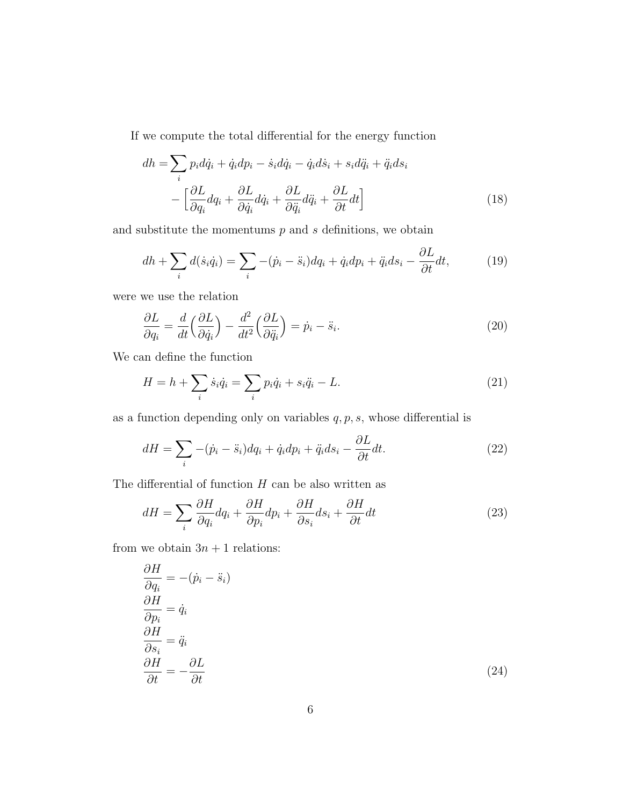If we compute the total differential for the energy function

$$
dh = \sum_{i} p_i d\dot{q}_i + \dot{q}_i dp_i - \dot{s}_i d\dot{q}_i - \dot{q}_i d\dot{s}_i + s_i d\ddot{q}_i + \ddot{q}_i ds_i
$$

$$
- \left[ \frac{\partial L}{\partial q_i} dq_i + \frac{\partial L}{\partial \dot{q}_i} d\dot{q}_i + \frac{\partial L}{\partial \ddot{q}_i} d\ddot{q}_i + \frac{\partial L}{\partial t} dt \right]
$$
(18)

and substitute the momentums  $p$  and  $s$  definitions, we obtain

$$
dh + \sum_{i} d(\dot{s}_i \dot{q}_i) = \sum_{i} -(\dot{p}_i - \ddot{s}_i) dq_i + \dot{q}_i dp_i + \ddot{q}_i ds_i - \frac{\partial L}{\partial t} dt,\tag{19}
$$

were we use the relation

$$
\frac{\partial L}{\partial q_i} = \frac{d}{dt} \left( \frac{\partial L}{\partial \dot{q}_i} \right) - \frac{d^2}{dt^2} \left( \frac{\partial L}{\partial \ddot{q}_i} \right) = \dot{p}_i - \ddot{s}_i.
$$
\n(20)

We can define the function

$$
H = h + \sum_{i} \dot{s}_{i} \dot{q}_{i} = \sum_{i} p_{i} \dot{q}_{i} + s_{i} \ddot{q}_{i} - L.
$$
 (21)

as a function depending only on variables  $q, p, s$ , whose differential is

$$
dH = \sum_{i} -(\dot{p}_i - \ddot{s}_i) dq_i + \dot{q}_i dp_i + \ddot{q}_i ds_i - \frac{\partial L}{\partial t} dt.
$$
\n(22)

The differential of function  $H$  can be also written as

$$
dH = \sum_{i} \frac{\partial H}{\partial q_i} dq_i + \frac{\partial H}{\partial p_i} dp_i + \frac{\partial H}{\partial s_i} ds_i + \frac{\partial H}{\partial t} dt
$$
\n(23)

from we obtain  $3n + 1$  relations:

<span id="page-5-0"></span>
$$
\frac{\partial H}{\partial q_i} = -(p_i - \ddot{s}_i)
$$
  
\n
$$
\frac{\partial H}{\partial p_i} = \dot{q}_i
$$
  
\n
$$
\frac{\partial H}{\partial s_i} = \ddot{q}_i
$$
  
\n
$$
\frac{\partial H}{\partial t} = -\frac{\partial L}{\partial t}
$$
\n(24)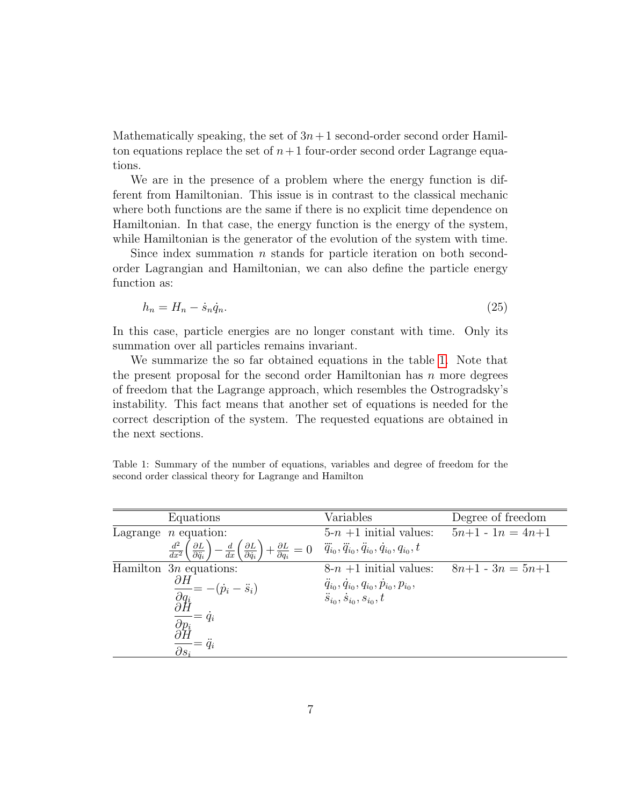Mathematically speaking, the set of  $3n+1$  second-order second order Hamilton equations replace the set of  $n+1$  four-order second order Lagrange equations.

We are in the presence of a problem where the energy function is different from Hamiltonian. This issue is in contrast to the classical mechanic where both functions are the same if there is no explicit time dependence on Hamiltonian. In that case, the energy function is the energy of the system, while Hamiltonian is the generator of the evolution of the system with time.

Since index summation  $n$  stands for particle iteration on both secondorder Lagrangian and Hamiltonian, we can also define the particle energy function as:

$$
h_n = H_n - \dot{s}_n \dot{q}_n. \tag{25}
$$

In this case, particle energies are no longer constant with time. Only its summation over all particles remains invariant.

We summarize the so far obtained equations in the table [1.](#page-6-0) Note that the present proposal for the second order Hamiltonian has  $n$  more degrees of freedom that the Lagrange approach, which resembles the Ostrogradsky's instability. This fact means that another set of equations is needed for the correct description of the system. The requested equations are obtained in the next sections.

<span id="page-6-0"></span>Table 1: Summary of the number of equations, variables and degree of freedom for the second order classical theory for Lagrange and Hamilton

| Equations                                                                                                                                                                                                                                                             | Variables                                                         | Degree of freedom  |
|-----------------------------------------------------------------------------------------------------------------------------------------------------------------------------------------------------------------------------------------------------------------------|-------------------------------------------------------------------|--------------------|
| Lagrange $n$ equation:                                                                                                                                                                                                                                                | $5-n+1$ initial values:                                           | $5n+1 - 1n = 4n+1$ |
| $\left(\frac{\partial L}{\partial \ddot{q}_i}\right) - \frac{d}{dx}\!\left(\frac{\partial L}{\partial \dot{q}_i}\right) + \frac{\partial L}{\partial q_i} = 0 \quad \dddot{q}_{i_0}, \ddot{q}_{i_0}, \ddot{q}_{i_0}, \dot{q}_{i_0}, q_{i_0}, t$<br>$\frac{d^2}{dx^2}$ |                                                                   |                    |
| Hamilton $3n$ equations:                                                                                                                                                                                                                                              | $8-n+1$ initial values: $8n+1-3n = 5n+1$                          |                    |
|                                                                                                                                                                                                                                                                       | $\ddot{q}_{i_0}, \dot{q}_{i_0}, q_{i_0}, \dot{p}_{i_0}, p_{i_0},$ |                    |
| $\frac{\partial H}{\partial q_i} = -( \dot{p}_i - \ddot{s}_i)$<br>$\frac{\partial H}{\partial H}$                                                                                                                                                                     | $\ddot{s}_{i_0}, \dot{s}_{i_0}, s_{i_0}, t$                       |                    |
| $\overline{\frac{\partial p_i}{\partial H}} = q_i$                                                                                                                                                                                                                    |                                                                   |                    |
| $\overline{\partial s_i} = \ddot{q}_i$                                                                                                                                                                                                                                |                                                                   |                    |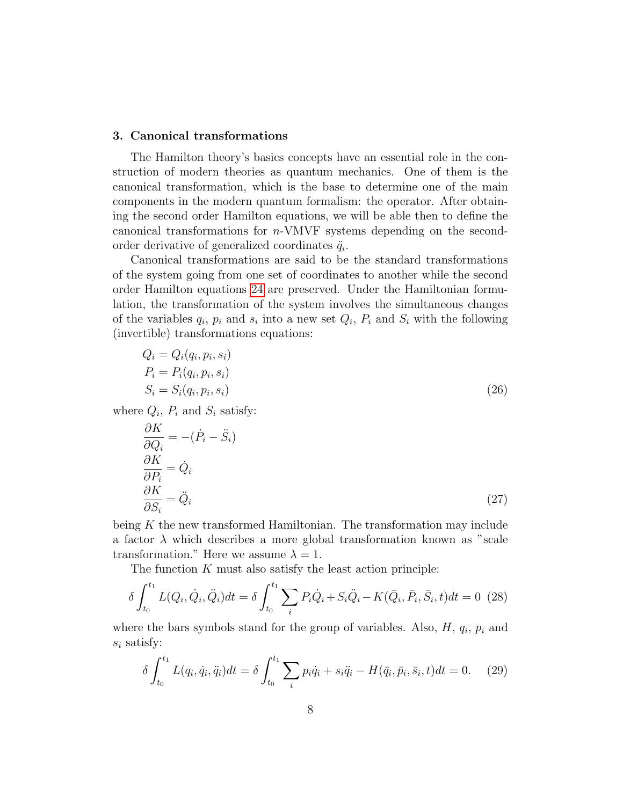#### 3. Canonical transformations

The Hamilton theory's basics concepts have an essential role in the construction of modern theories as quantum mechanics. One of them is the canonical transformation, which is the base to determine one of the main components in the modern quantum formalism: the operator. After obtaining the second order Hamilton equations, we will be able then to define the canonical transformations for n-VMVF systems depending on the secondorder derivative of generalized coordinates  $\ddot{q}_i$ .

Canonical transformations are said to be the standard transformations of the system going from one set of coordinates to another while the second order Hamilton equations [24](#page-5-0) are preserved. Under the Hamiltonian formulation, the transformation of the system involves the simultaneous changes of the variables  $q_i$ ,  $p_i$  and  $s_i$  into a new set  $Q_i$ ,  $P_i$  and  $S_i$  with the following (invertible) transformations equations:

$$
Q_i = Q_i(q_i, p_i, s_i)
$$
  
\n
$$
P_i = P_i(q_i, p_i, s_i)
$$
  
\n
$$
S_i = S_i(q_i, p_i, s_i)
$$
\n(26)

where  $Q_i$ ,  $P_i$  and  $S_i$  satisfy:

<span id="page-7-0"></span>
$$
\frac{\partial K}{\partial Q_i} = -(\dot{P}_i - \ddot{S}_i)
$$
  
\n
$$
\frac{\partial K}{\partial P_i} = \dot{Q}_i
$$
  
\n
$$
\frac{\partial K}{\partial S_i} = \ddot{Q}_i
$$
\n(27)

being  $K$  the new transformed Hamiltonian. The transformation may include a factor  $\lambda$  which describes a more global transformation known as "scale transformation." Here we assume  $\lambda = 1$ .

The function  $K$  must also satisfy the least action principle:

$$
\delta \int_{t_0}^{t_1} L(Q_i, \dot{Q}_i, \ddot{Q}_i) dt = \delta \int_{t_0}^{t_1} \sum_i P_i \dot{Q}_i + S_i \ddot{Q}_i - K(\bar{Q}_i, \bar{P}_i, \bar{S}_i, t) dt = 0 \tag{28}
$$

where the bars symbols stand for the group of variables. Also,  $H$ ,  $q_i$ ,  $p_i$  and  $s_i$  satisfy:

$$
\delta \int_{t_0}^{t_1} L(q_i, \dot{q}_i, \ddot{q}_i) dt = \delta \int_{t_0}^{t_1} \sum_i p_i \dot{q}_i + s_i \ddot{q}_i - H(\bar{q}_i, \bar{p}_i, \bar{s}_i, t) dt = 0. \tag{29}
$$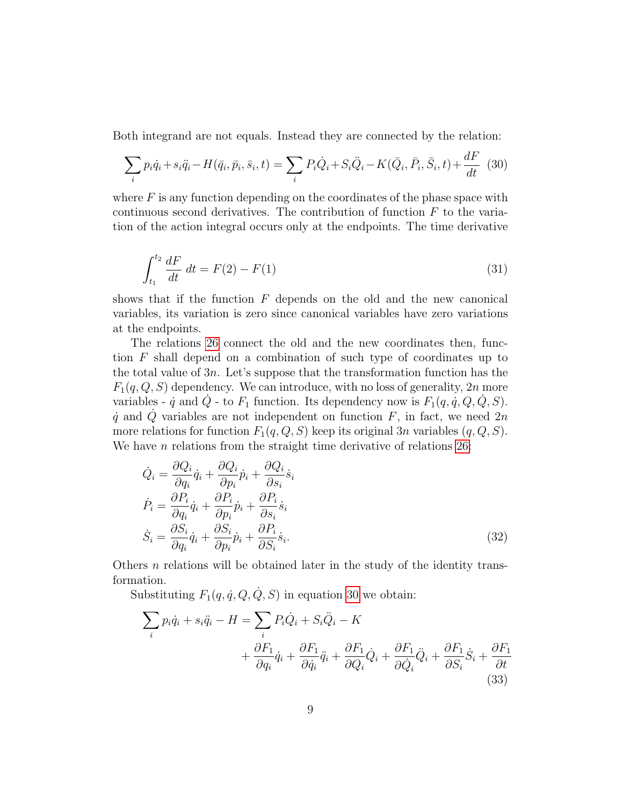Both integrand are not equals. Instead they are connected by the relation:

<span id="page-8-0"></span>
$$
\sum_{i} p_i \dot{q}_i + s_i \ddot{q}_i - H(\bar{q}_i, \bar{p}_i, \bar{s}_i, t) = \sum_{i} P_i \dot{Q}_i + S_i \ddot{Q}_i - K(\bar{Q}_i, \bar{P}_i, \bar{S}_i, t) + \frac{dF}{dt} \tag{30}
$$

where  $F$  is any function depending on the coordinates of the phase space with continuous second derivatives. The contribution of function  $F$  to the variation of the action integral occurs only at the endpoints. The time derivative

$$
\int_{t_1}^{t_2} \frac{dF}{dt} \, dt = F(2) - F(1) \tag{31}
$$

shows that if the function  $F$  depends on the old and the new canonical variables, its variation is zero since canonical variables have zero variations at the endpoints.

The relations [26](#page-7-0) connect the old and the new coordinates then, function F shall depend on a combination of such type of coordinates up to the total value of  $3n$ . Let's suppose that the transformation function has the  $F_1(q, Q, S)$  dependency. We can introduce, with no loss of generality,  $2n$  more variables -  $\dot{q}$  and  $\dot{Q}$  - to  $F_1$  function. Its dependency now is  $F_1(q, \dot{q}, Q, \dot{Q}, S)$ .  $\dot{q}$  and  $Q$  variables are not independent on function  $F$ , in fact, we need  $2n$ more relations for function  $F_1(q, Q, S)$  keep its original 3n variables  $(q, Q, S)$ . We have  $n$  relations from the straight time derivative of relations [26:](#page-7-0)

<span id="page-8-1"></span>
$$
\dot{Q}_i = \frac{\partial Q_i}{\partial q_i} \dot{q}_i + \frac{\partial Q_i}{\partial p_i} \dot{p}_i + \frac{\partial Q_i}{\partial s_i} \dot{s}_i
$$
\n
$$
\dot{P}_i = \frac{\partial P_i}{\partial q_i} \dot{q}_i + \frac{\partial P_i}{\partial p_i} \dot{p}_i + \frac{\partial P_i}{\partial s_i} \dot{s}_i
$$
\n
$$
\dot{S}_i = \frac{\partial S_i}{\partial q_i} \dot{q}_i + \frac{\partial S_i}{\partial p_i} \dot{p}_i + \frac{\partial P_i}{\partial S_i} \dot{s}_i.
$$
\n(32)

Others  $n$  relations will be obtained later in the study of the identity transformation.

Substituting  $F_1(q, \dot{q}, Q, \dot{Q}, S)$  in equation [30](#page-8-0) we obtain:

<span id="page-8-2"></span>
$$
\sum_{i} p_i \dot{q}_i + s_i \ddot{q}_i - H = \sum_{i} P_i \dot{Q}_i + S_i \ddot{Q}_i - K + \frac{\partial F_1}{\partial q_i} \dot{q}_i + \frac{\partial F_1}{\partial \dot{q}_i} \ddot{q}_i + \frac{\partial F_1}{\partial Q_i} \dot{Q}_i + \frac{\partial F_1}{\partial \dot{Q}_i} \ddot{Q}_i + \frac{\partial F_1}{\partial S_i} \dot{S}_i + \frac{\partial F_1}{\partial t}
$$
\n(33)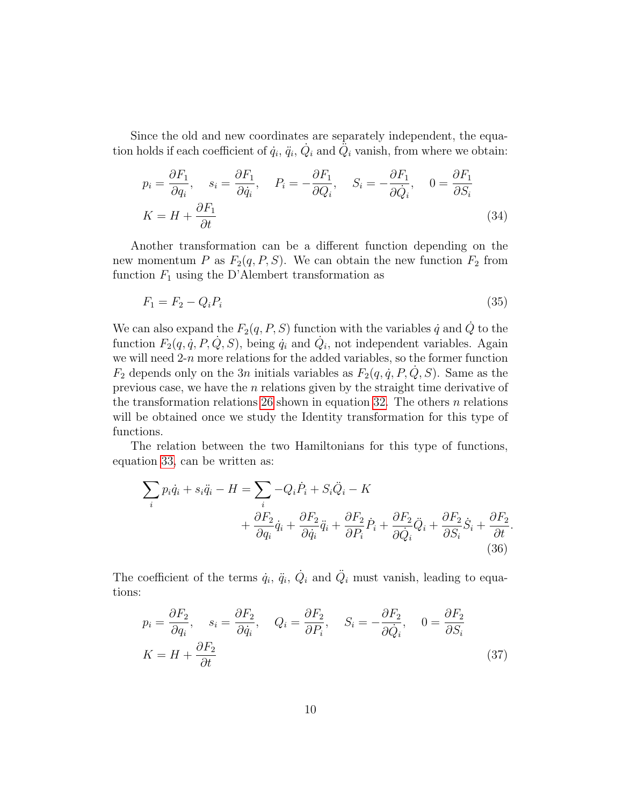Since the old and new coordinates are separately independent, the equation holds if each coefficient of  $\dot{q}_i$ ,  $\ddot{q}_i$ ,  $\dot{Q}_i$  and  $\ddot{\bar{Q}}_i$  vanish, from where we obtain:

$$
p_i = \frac{\partial F_1}{\partial q_i}, \quad s_i = \frac{\partial F_1}{\partial \dot{q}_i}, \quad P_i = -\frac{\partial F_1}{\partial Q_i}, \quad S_i = -\frac{\partial F_1}{\partial \dot{Q}_i}, \quad 0 = \frac{\partial F_1}{\partial S_i}
$$
  

$$
K = H + \frac{\partial F_1}{\partial t}
$$
(34)

Another transformation can be a different function depending on the new momentum P as  $F_2(q, P, S)$ . We can obtain the new function  $F_2$  from function  $F_1$  using the D'Alembert transformation as

$$
F_1 = F_2 - Q_i P_i \tag{35}
$$

We can also expand the  $F_2(q, P, S)$  function with the variables  $\dot{q}$  and  $\dot{Q}$  to the function  $F_2(q, \dot{q}, P, \dot{Q}, S)$ , being  $\dot{q}_i$  and  $\dot{Q}_i$ , not independent variables. Again we will need  $2-n$  more relations for the added variables, so the former function  $F_2$  depends only on the 3n initials variables as  $F_2(q, \dot{q}, P, \dot{Q}, S)$ . Same as the previous case, we have the n relations given by the straight time derivative of the transformation relations [26](#page-7-0) shown in equation [32.](#page-8-1) The others  $n$  relations will be obtained once we study the Identity transformation for this type of functions.

The relation between the two Hamiltonians for this type of functions, equation [33,](#page-8-2) can be written as:

$$
\sum_{i} p_i \dot{q}_i + s_i \ddot{q}_i - H = \sum_{i} -Q_i \dot{P}_i + S_i \ddot{Q}_i - K + \frac{\partial F_2}{\partial q_i} \dot{q}_i + \frac{\partial F_2}{\partial \dot{q}_i} \ddot{q}_i + \frac{\partial F_2}{\partial P_i} \dot{P}_i + \frac{\partial F_2}{\partial \dot{Q}_i} \ddot{Q}_i + \frac{\partial F_2}{\partial S_i} \dot{S}_i + \frac{\partial F_2}{\partial t}.
$$
\n(36)

The coefficient of the terms  $\dot{q}_i$ ,  $\ddot{q}_i$ ,  $\dot{Q}_i$  and  $\ddot{Q}_i$  must vanish, leading to equations:

<span id="page-9-0"></span>
$$
p_i = \frac{\partial F_2}{\partial q_i}, \quad s_i = \frac{\partial F_2}{\partial \dot{q}_i}, \quad Q_i = \frac{\partial F_2}{\partial P_i}, \quad S_i = -\frac{\partial F_2}{\partial \dot{Q}_i}, \quad 0 = \frac{\partial F_2}{\partial S_i}
$$

$$
K = H + \frac{\partial F_2}{\partial t}
$$
(37)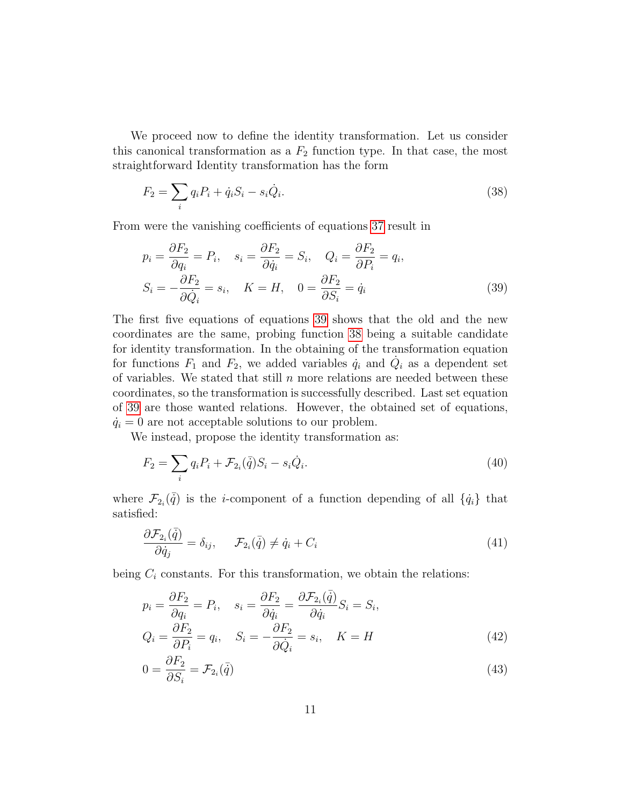We proceed now to define the identity transformation. Let us consider this canonical transformation as a  $F_2$  function type. In that case, the most straightforward Identity transformation has the form

<span id="page-10-1"></span>
$$
F_2 = \sum_i q_i P_i + \dot{q}_i S_i - s_i \dot{Q}_i.
$$
\n(38)

From were the vanishing coefficients of equations [37](#page-9-0) result in

<span id="page-10-0"></span>
$$
p_i = \frac{\partial F_2}{\partial q_i} = P_i, \quad s_i = \frac{\partial F_2}{\partial \dot{q}_i} = S_i, \quad Q_i = \frac{\partial F_2}{\partial P_i} = q_i,
$$
  

$$
S_i = -\frac{\partial F_2}{\partial \dot{Q}_i} = s_i, \quad K = H, \quad 0 = \frac{\partial F_2}{\partial S_i} = \dot{q}_i
$$
(39)

The first five equations of equations [39](#page-10-0) shows that the old and the new coordinates are the same, probing function [38](#page-10-1) being a suitable candidate for identity transformation. In the obtaining of the transformation equation for functions  $F_1$  and  $F_2$ , we added variables  $\dot{q}_i$  and  $\dot{Q}_i$  as a dependent set of variables. We stated that still  $n$  more relations are needed between these coordinates, so the transformation is successfully described. Last set equation of [39](#page-10-0) are those wanted relations. However, the obtained set of equations,  $\dot{q}_i = 0$  are not acceptable solutions to our problem.

We instead, propose the identity transformation as:

$$
F_2 = \sum_i q_i P_i + \mathcal{F}_{2_i}(\bar{q}) S_i - s_i \dot{Q}_i.
$$
\n(40)

where  $\mathcal{F}_{2_i}(\bar{q})$  is the *i*-component of a function depending of all  $\{\dot{q}_i\}$  that satisfied:

<span id="page-10-3"></span>
$$
\frac{\partial \mathcal{F}_{2_i}(\bar{q})}{\partial \dot{q}_j} = \delta_{ij}, \qquad \mathcal{F}_{2_i}(\bar{q}) \neq \dot{q}_i + C_i \tag{41}
$$

being  $C_i$  constants. For this transformation, we obtain the relations:

$$
p_i = \frac{\partial F_2}{\partial q_i} = P_i, \quad s_i = \frac{\partial F_2}{\partial \dot{q}_i} = \frac{\partial \mathcal{F}_{2_i}(\bar{q})}{\partial \dot{q}_i} S_i = S_i,
$$
  
\n
$$
Q_i = \frac{\partial F_2}{\partial P_i} = q_i, \quad S_i = -\frac{\partial F_2}{\partial \dot{Q}_i} = s_i, \quad K = H
$$
\n(42)

<span id="page-10-2"></span>
$$
0 = \frac{\partial F_2}{\partial S_i} = \mathcal{F}_{2_i}(\bar{q})
$$
\n<sup>(43)</sup>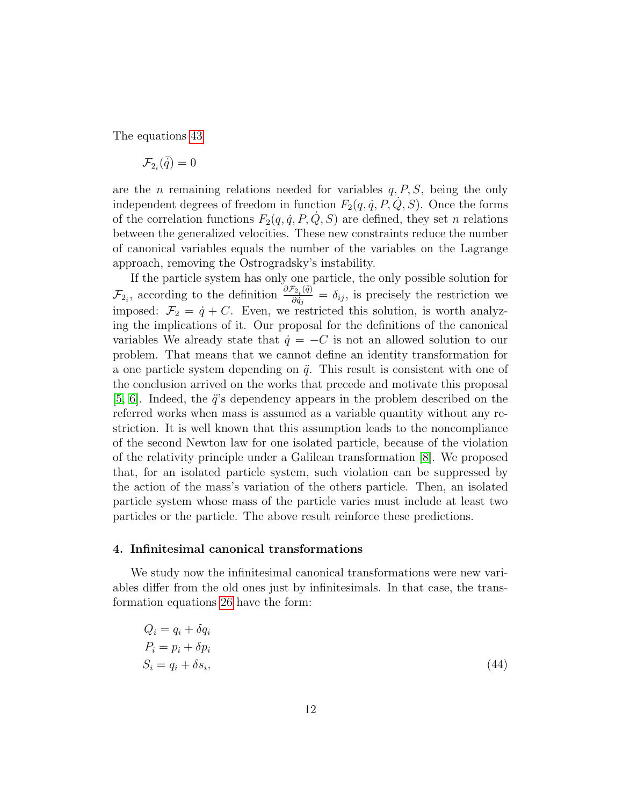The equations [43](#page-10-2)

$$
\mathcal{F}_{2_i}(\bar{\dot{q}})=0
$$

are the *n* remaining relations needed for variables  $q, P, S$ , being the only independent degrees of freedom in function  $F_2(q, \dot{q}, P, Q, S)$ . Once the forms of the correlation functions  $F_2(q, \dot{q}, P, Q, S)$  are defined, they set n relations between the generalized velocities. These new constraints reduce the number of canonical variables equals the number of the variables on the Lagrange approach, removing the Ostrogradsky's instability.

If the particle system has only one particle, the only possible solution for  $\mathcal{F}_{2_i}$ , according to the definition  $\frac{\partial \mathcal{F}_{2_i}(\bar{q})}{\partial \dot{q}_i}$  $\frac{\partial^2 i}{\partial \dot{q}_j} = \delta_{ij}$ , is precisely the restriction we imposed:  $\mathcal{F}_2 = \dot{q} + C$ . Even, we restricted this solution, is worth analyzing the implications of it. Our proposal for the definitions of the canonical variables We already state that  $\dot{q} = -C$  is not an allowed solution to our problem. That means that we cannot define an identity transformation for a one particle system depending on  $\ddot{q}$ . This result is consistent with one of the conclusion arrived on the works that precede and motivate this proposal [\[5,](#page-16-4) [6\]](#page-16-5). Indeed, the  $\ddot{q}$ 's dependency appears in the problem described on the referred works when mass is assumed as a variable quantity without any restriction. It is well known that this assumption leads to the noncompliance of the second Newton law for one isolated particle, because of the violation of the relativity principle under a Galilean transformation [\[8\]](#page-16-7). We proposed that, for an isolated particle system, such violation can be suppressed by the action of the mass's variation of the others particle. Then, an isolated particle system whose mass of the particle varies must include at least two particles or the particle. The above result reinforce these predictions.

#### 4. Infinitesimal canonical transformations

We study now the infinitesimal canonical transformations were new variables differ from the old ones just by infinitesimals. In that case, the transformation equations [26](#page-7-0) have the form:

$$
Q_i = q_i + \delta q_i
$$
  
\n
$$
P_i = p_i + \delta p_i
$$
  
\n
$$
S_i = q_i + \delta s_i,
$$
\n(44)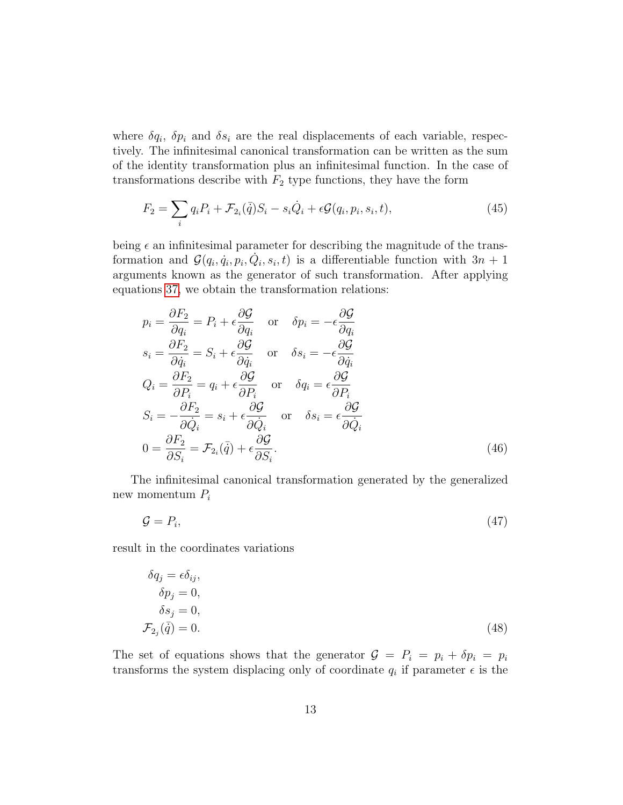where  $\delta q_i$ ,  $\delta p_i$  and  $\delta s_i$  are the real displacements of each variable, respectively. The infinitesimal canonical transformation can be written as the sum of the identity transformation plus an infinitesimal function. In the case of transformations describe with  $F_2$  type functions, they have the form

$$
F_2 = \sum_i q_i P_i + \mathcal{F}_{2_i}(\bar{q}) S_i - s_i \dot{Q}_i + \epsilon \mathcal{G}(q_i, p_i, s_i, t), \qquad (45)
$$

being  $\epsilon$  an infinitesimal parameter for describing the magnitude of the transformation and  $\mathcal{G}(q_i, \dot{q}_i, p_i, \dot{Q}_i, s_i, t)$  is a differentiable function with  $3n + 1$ arguments known as the generator of such transformation. After applying equations [37,](#page-9-0) we obtain the transformation relations:

$$
p_i = \frac{\partial F_2}{\partial q_i} = P_i + \epsilon \frac{\partial G}{\partial q_i} \quad \text{or} \quad \delta p_i = -\epsilon \frac{\partial G}{\partial q_i}
$$
  
\n
$$
s_i = \frac{\partial F_2}{\partial \dot{q}_i} = S_i + \epsilon \frac{\partial G}{\partial \dot{q}_i} \quad \text{or} \quad \delta s_i = -\epsilon \frac{\partial G}{\partial \dot{q}_i}
$$
  
\n
$$
Q_i = \frac{\partial F_2}{\partial P_i} = q_i + \epsilon \frac{\partial G}{\partial P_i} \quad \text{or} \quad \delta q_i = \epsilon \frac{\partial G}{\partial P_i}
$$
  
\n
$$
S_i = -\frac{\partial F_2}{\partial \dot{Q}_i} = s_i + \epsilon \frac{\partial G}{\partial \dot{Q}_i} \quad \text{or} \quad \delta s_i = \epsilon \frac{\partial G}{\partial \dot{Q}_i}
$$
  
\n
$$
0 = \frac{\partial F_2}{\partial S_i} = \mathcal{F}_{2_i}(\bar{q}) + \epsilon \frac{\partial G}{\partial S_i}.
$$
  
\n(46)

The infinitesimal canonical transformation generated by the generalized new momentum  $P_i$ 

$$
\mathcal{G} = P_i,\tag{47}
$$

result in the coordinates variations

$$
\delta q_j = \epsilon \delta_{ij},
$$
  
\n
$$
\delta p_j = 0,
$$
  
\n
$$
\delta s_j = 0,
$$
  
\n
$$
\mathcal{F}_{2_j}(\bar{q}) = 0.
$$
\n(48)

The set of equations shows that the generator  $\mathcal{G} = P_i = p_i + \delta p_i = p_i$ transforms the system displacing only of coordinate  $q_i$  if parameter  $\epsilon$  is the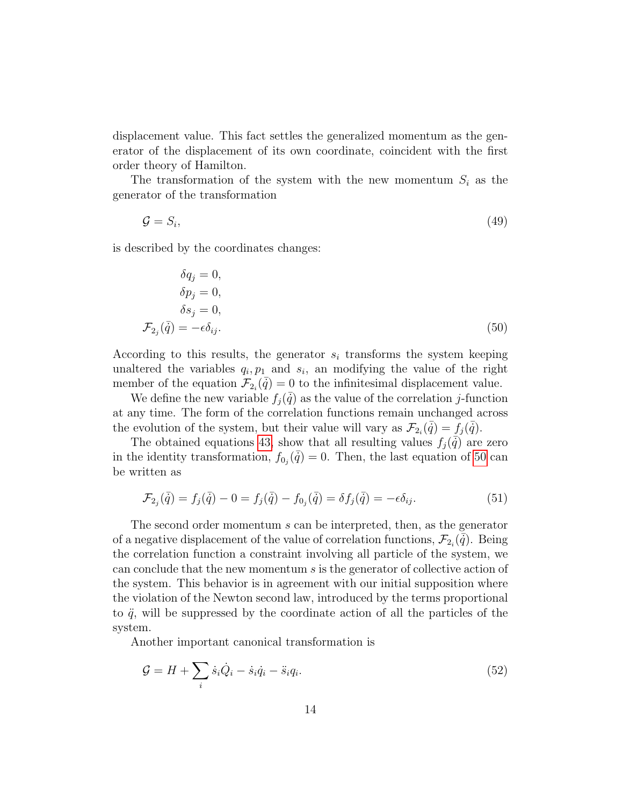displacement value. This fact settles the generalized momentum as the generator of the displacement of its own coordinate, coincident with the first order theory of Hamilton.

The transformation of the system with the new momentum  $S_i$  as the generator of the transformation

$$
\mathcal{G} = S_i,\tag{49}
$$

is described by the coordinates changes:

<span id="page-13-0"></span>
$$
\delta q_j = 0,
$$
  
\n
$$
\delta p_j = 0,
$$
  
\n
$$
\delta s_j = 0,
$$
  
\n
$$
\mathcal{F}_{2_j}(\bar{q}) = -\epsilon \delta_{ij}.
$$
\n(50)

According to this results, the generator  $s_i$  transforms the system keeping unaltered the variables  $q_i, p_1$  and  $s_i$ , an modifying the value of the right member of the equation  $\mathcal{F}_{2_i}(\bar{q})=0$  to the infinitesimal displacement value.

We define the new variable  $f_i(\vec{q})$  as the value of the correlation j-function at any time. The form of the correlation functions remain unchanged across the evolution of the system, but their value will vary as  $\mathcal{F}_{2_i}(\bar{q}) = f_j(\bar{q})$ .

The obtained equations [43,](#page-10-2) show that all resulting values  $f_j(\dot{q})$  are zero in the identity transformation,  $f_{0j}(\bar{q})=0$ . Then, the last equation of [50](#page-13-0) can be written as

$$
\mathcal{F}_{2_j}(\bar{\dot{q}}) = f_j(\bar{\dot{q}}) - 0 = f_j(\bar{\dot{q}}) - f_{0_j}(\bar{\dot{q}}) = \delta f_j(\bar{\dot{q}}) = -\epsilon \delta_{ij}.
$$
\n(51)

The second order momentum s can be interpreted, then, as the generator of a negative displacement of the value of correlation functions,  $\mathcal{F}_{2_i}(\bar{\dot{q}})$ . Being the correlation function a constraint involving all particle of the system, we can conclude that the new momentum s is the generator of collective action of the system. This behavior is in agreement with our initial supposition where the violation of the Newton second law, introduced by the terms proportional to  $\ddot{q}$ , will be suppressed by the coordinate action of all the particles of the system.

Another important canonical transformation is

<span id="page-13-1"></span>
$$
\mathcal{G} = H + \sum_{i} \dot{s}_i \dot{Q}_i - \dot{s}_i \dot{q}_i - \ddot{s}_i q_i. \tag{52}
$$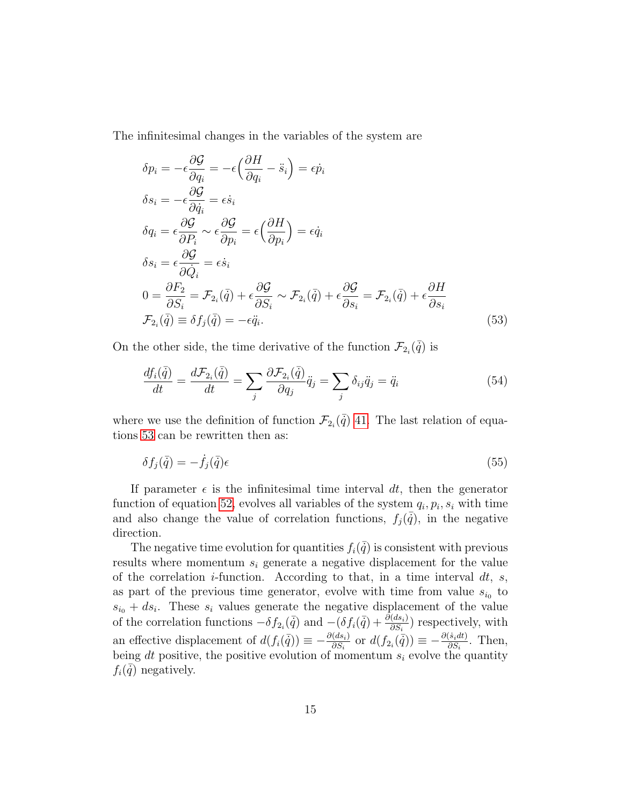The infinitesimal changes in the variables of the system are

$$
\delta p_i = -\epsilon \frac{\partial \mathcal{G}}{\partial q_i} = -\epsilon \left( \frac{\partial H}{\partial q_i} - \ddot{s}_i \right) = \epsilon \dot{p}_i
$$
  
\n
$$
\delta s_i = -\epsilon \frac{\partial \mathcal{G}}{\partial \dot{q}_i} = \epsilon \dot{s}_i
$$
  
\n
$$
\delta q_i = \epsilon \frac{\partial \mathcal{G}}{\partial P_i} \sim \epsilon \frac{\partial \mathcal{G}}{\partial p_i} = \epsilon \left( \frac{\partial H}{\partial p_i} \right) = \epsilon \dot{q}_i
$$
  
\n
$$
\delta s_i = \epsilon \frac{\partial \mathcal{G}}{\partial \dot{Q}_i} = \epsilon \dot{s}_i
$$
  
\n
$$
0 = \frac{\partial F_2}{\partial S_i} = \mathcal{F}_{2_i}(\bar{q}) + \epsilon \frac{\partial \mathcal{G}}{\partial S_i} \sim \mathcal{F}_{2_i}(\bar{q}) + \epsilon \frac{\partial \mathcal{G}}{\partial s_i} = \mathcal{F}_{2_i}(\bar{q}) + \epsilon \frac{\partial H}{\partial s_i}
$$
  
\n
$$
\mathcal{F}_{2_i}(\bar{q}) \equiv \delta f_j(\bar{q}) = -\epsilon \ddot{q}_i.
$$
\n(53)

On the other side, the time derivative of the function  $\mathcal{F}_{2_i}(\bar{q})$  is

<span id="page-14-1"></span><span id="page-14-0"></span>
$$
\frac{df_i(\bar{q})}{dt} = \frac{d\mathcal{F}_{2_i}(\bar{q})}{dt} = \sum_j \frac{\partial \mathcal{F}_{2_i}(\bar{q})}{\partial q_j} \ddot{q}_j = \sum_j \delta_{ij} \ddot{q}_j = \ddot{q}_i
$$
\n(54)

where we use the definition of function  $\mathcal{F}_{2_i}(\bar{q})$  [41.](#page-10-3) The last relation of equations [53](#page-14-0) can be rewritten then as:

$$
\delta f_j(\bar{q}) = -\dot{f}_j(\bar{q})\epsilon \tag{55}
$$

If parameter  $\epsilon$  is the infinitesimal time interval dt, then the generator function of equation [52,](#page-13-1) evolves all variables of the system  $q_i, p_i, s_i$  with time and also change the value of correlation functions,  $f_j(\bar{q})$ , in the negative direction.

The negative time evolution for quantities  $f_i(\bar{q})$  is consistent with previous results where momentum  $s_i$  generate a negative displacement for the value of the correlation *i*-function. According to that, in a time interval  $dt$ , s, as part of the previous time generator, evolve with time from value  $s_{i_0}$  to  $s_{i_0} + ds_i$ . These  $s_i$  values generate the negative displacement of the value of the correlation functions  $-\delta f_{2_i}(\bar{q})$  and  $-(\delta f_i(\bar{q}) + \frac{\partial (ds_i)}{\partial S_i})$  respectively, with an effective displacement of  $d(f_i(\bar{\dot{q}})) \equiv -\frac{\partial (ds_i)}{\partial S_i}$  $\frac{(ds_i)}{\partial S_i}$  or  $d(f_{2_i}(\bar{q})) \equiv -\frac{\partial (\dot{s}_i dt)}{\partial S_i}$  $\frac{\delta s_i dt_j}{\delta S_i}$ . Then, being dt positive, the positive evolution of momentum  $s_i$  evolve the quantity  $f_i(\bar{q})$  negatively.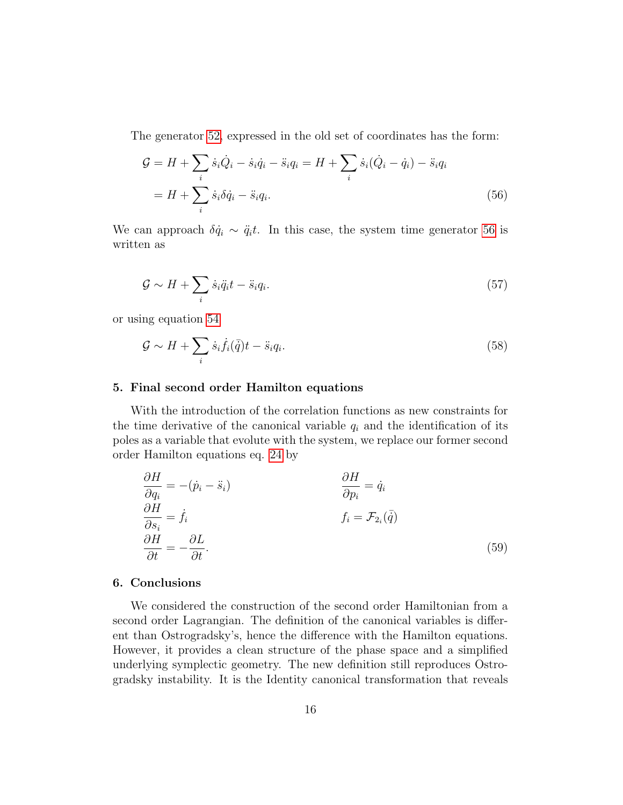The generator [52,](#page-13-1) expressed in the old set of coordinates has the form:

<span id="page-15-0"></span>
$$
\mathcal{G} = H + \sum_{i} \dot{s}_i \dot{Q}_i - \dot{s}_i \dot{q}_i - \ddot{s}_i q_i = H + \sum_{i} \dot{s}_i (\dot{Q}_i - \dot{q}_i) - \ddot{s}_i q_i
$$

$$
= H + \sum_{i} \dot{s}_i \delta \dot{q}_i - \ddot{s}_i q_i.
$$
(56)

We can approach  $\delta \dot{q}_i \sim \ddot{q}_i t$ . In this case, the system time generator [56](#page-15-0) is written as

$$
\mathcal{G} \sim H + \sum_{i} \dot{s}_i \ddot{q}_i t - \ddot{s}_i q_i. \tag{57}
$$

or using equation [54](#page-14-1)

$$
\mathcal{G} \sim H + \sum_{i} \dot{s}_i \dot{f}_i(\bar{q}) t - \ddot{s}_i q_i. \tag{58}
$$

#### 5. Final second order Hamilton equations

With the introduction of the correlation functions as new constraints for the time derivative of the canonical variable  $q_i$  and the identification of its poles as a variable that evolute with the system, we replace our former second order Hamilton equations eq. [24](#page-5-0) by

$$
\frac{\partial H}{\partial q_i} = -(p_i - \ddot{s}_i) \qquad \qquad \frac{\partial H}{\partial p_i} = \dot{q}_i
$$
\n
$$
\frac{\partial H}{\partial s_i} = \dot{f}_i \qquad \qquad f_i = \mathcal{F}_{2_i}(\bar{q})
$$
\n
$$
\frac{\partial H}{\partial t} = -\frac{\partial L}{\partial t}.
$$
\n(59)

# 6. Conclusions

We considered the construction of the second order Hamiltonian from a second order Lagrangian. The definition of the canonical variables is different than Ostrogradsky's, hence the difference with the Hamilton equations. However, it provides a clean structure of the phase space and a simplified underlying symplectic geometry. The new definition still reproduces Ostrogradsky instability. It is the Identity canonical transformation that reveals